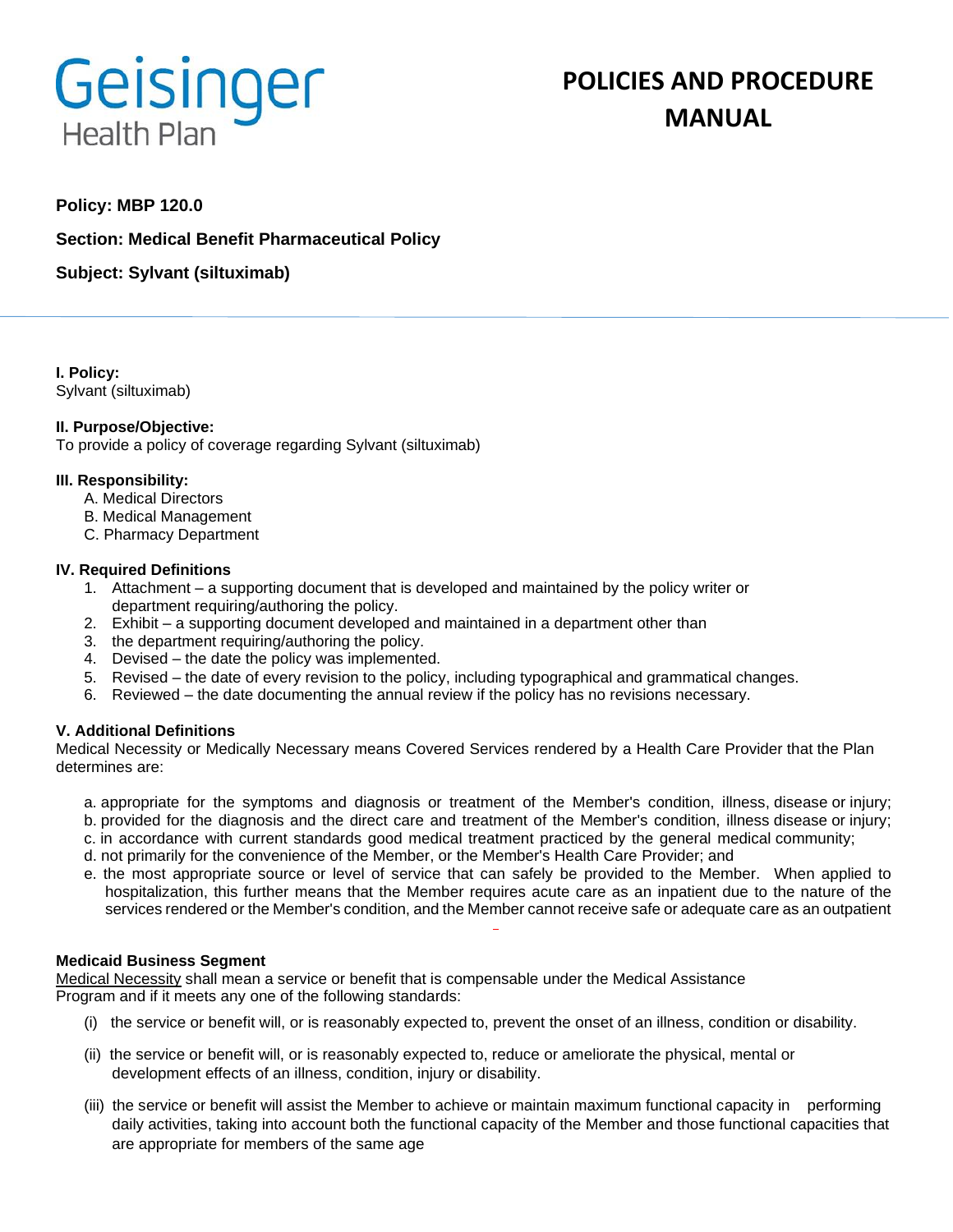# Geisinger **Health Plan**

# **POLICIES AND PROCEDURE MANUAL**

# **Policy: MBP 120.0**

**Section: Medical Benefit Pharmaceutical Policy**

**Subject: Sylvant (siltuximab)**

**I. Policy:** Sylvant (siltuximab)

### **II. Purpose/Objective:**

To provide a policy of coverage regarding Sylvant (siltuximab)

### **III. Responsibility:**

- A. Medical Directors
- B. Medical Management
- C. Pharmacy Department

### **IV. Required Definitions**

- 1. Attachment a supporting document that is developed and maintained by the policy writer or department requiring/authoring the policy.
- 2. Exhibit a supporting document developed and maintained in a department other than
- 3. the department requiring/authoring the policy.
- 4. Devised the date the policy was implemented.
- 5. Revised the date of every revision to the policy, including typographical and grammatical changes.
- 6. Reviewed the date documenting the annual review if the policy has no revisions necessary.

# **V. Additional Definitions**

Medical Necessity or Medically Necessary means Covered Services rendered by a Health Care Provider that the Plan determines are:

- a. appropriate for the symptoms and diagnosis or treatment of the Member's condition, illness, disease or injury; b. provided for the diagnosis and the direct care and treatment of the Member's condition, illness disease or injury;
- c. in accordance with current standards good medical treatment practiced by the general medical community;
- d. not primarily for the convenience of the Member, or the Member's Health Care Provider; and
- e. the most appropriate source or level of service that can safely be provided to the Member. When applied to
- hospitalization, this further means that the Member requires acute care as an inpatient due to the nature of the services rendered or the Member's condition, and the Member cannot receive safe or adequate care as an outpatient

# **Medicaid Business Segment**

Medical Necessity shall mean a service or benefit that is compensable under the Medical Assistance Program and if it meets any one of the following standards:

- (i) the service or benefit will, or is reasonably expected to, prevent the onset of an illness, condition or disability.
- (ii) the service or benefit will, or is reasonably expected to, reduce or ameliorate the physical, mental or development effects of an illness, condition, injury or disability.
- (iii) the service or benefit will assist the Member to achieve or maintain maximum functional capacity in performing daily activities, taking into account both the functional capacity of the Member and those functional capacities that are appropriate for members of the same age